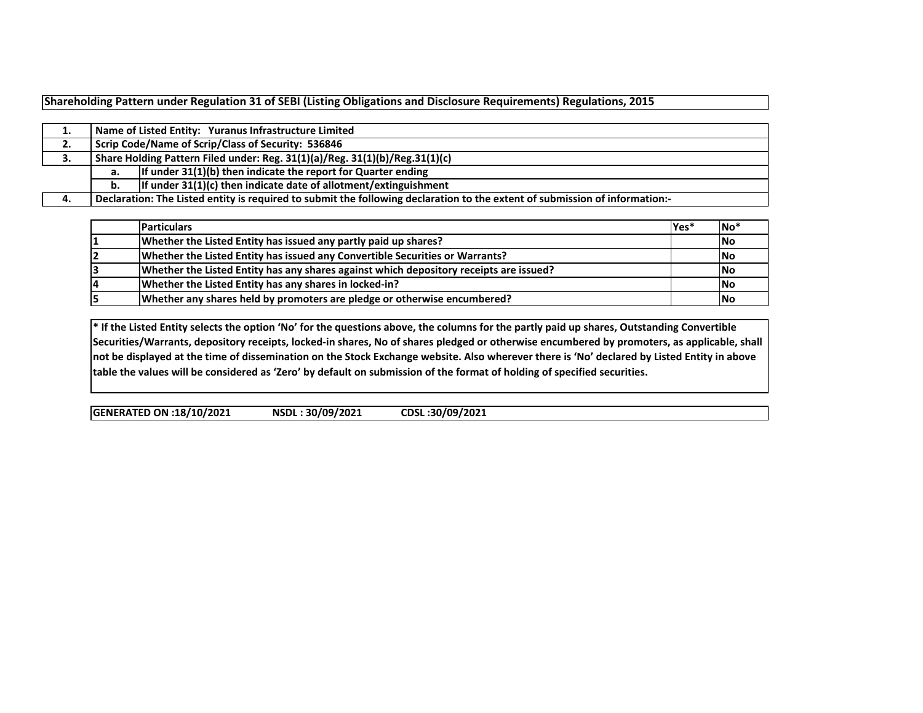**Shareholding Pattern under Regulation 31 of SEBI (Listing Obligations and Disclosure Requirements) Regulations, 2015**

| . . |                                                                                                                                             | Name of Listed Entity: Yuranus Infrastructure Limited |  |  |  |  |  |  |  |  |  |  |  |
|-----|---------------------------------------------------------------------------------------------------------------------------------------------|-------------------------------------------------------|--|--|--|--|--|--|--|--|--|--|--|
| z.  | Scrip Code/Name of Scrip/Class of Security: 536846                                                                                          |                                                       |  |  |  |  |  |  |  |  |  |  |  |
| з.  | Share Holding Pattern Filed under: Reg. 31(1)(a)/Reg. 31(1)(b)/Reg. 31(1)(c)                                                                |                                                       |  |  |  |  |  |  |  |  |  |  |  |
|     | If under $31(1)(b)$ then indicate the report for Quarter ending<br>а.<br>If under $31(1)(c)$ then indicate date of allotment/extinguishment |                                                       |  |  |  |  |  |  |  |  |  |  |  |
|     |                                                                                                                                             |                                                       |  |  |  |  |  |  |  |  |  |  |  |
| 4.  | Declaration: The Listed entity is required to submit the following declaration to the extent of submission of information:-                 |                                                       |  |  |  |  |  |  |  |  |  |  |  |

| <b>Particulars</b>                                                                     | Yes* | INo*       |
|----------------------------------------------------------------------------------------|------|------------|
| Whether the Listed Entity has issued any partly paid up shares?                        |      | <b>No</b>  |
| Whether the Listed Entity has issued any Convertible Securities or Warrants?           |      | <b>INo</b> |
| Whether the Listed Entity has any shares against which depository receipts are issued? |      | <b>INo</b> |
| Whether the Listed Entity has any shares in locked-in?                                 |      | <b>INo</b> |
| Whether any shares held by promoters are pledge or otherwise encumbered?               |      | <b>INo</b> |

\* If the Listed Entity selects the option 'No' for the questions above, the columns for the partly paid up shares, Outstanding Convertible Securities/Warrants, depository receipts, locked-in shares, No of shares pledged or otherwise encumbered by promoters, as applicable, shall not be displayed at the time of dissemination on the Stock Exchange website. Also wherever there is 'No' declared by Listed Entity in above table the values will be considered as 'Zero' by default on submission of the format of holding of specified securities.

**GENERATED ON**

**:18/10/2021 NSDL : 30/09/2021 CDSL :30/09/2021**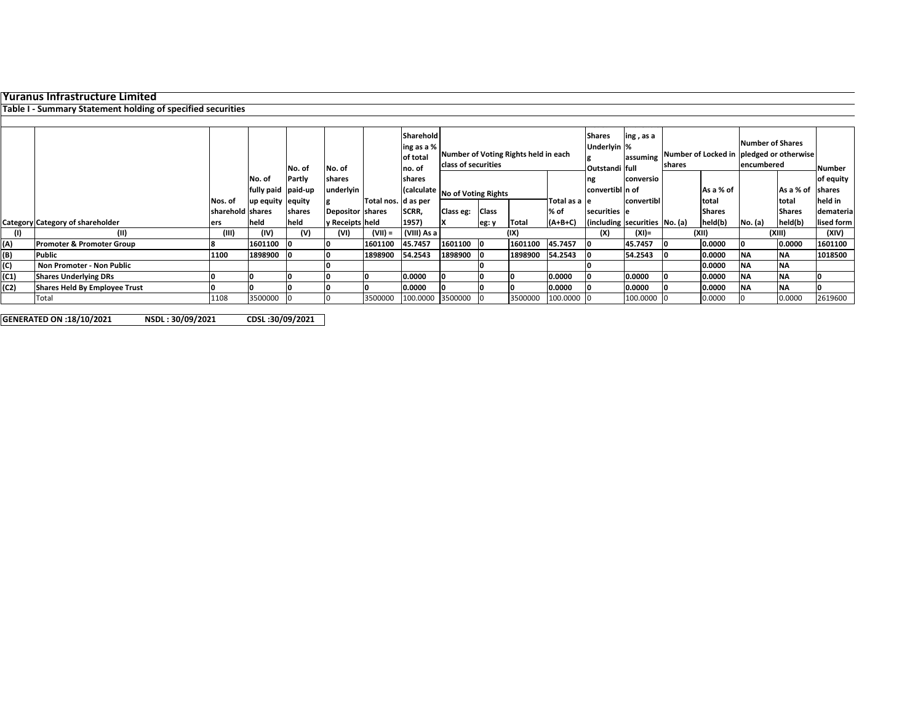### **Yuranus Infrastructure Limited**

# **Table I ‐ Summary Statement holding of specified securities**

|      |                                         |                  |                    |        |                  |                      | Sharehold<br>ing as a % | Number of Voting Rights held in each |              |         |                | <b>Shares</b><br>Underlyin %  | ing, as a  |  |               | <b>Number of Shares</b>                                         |               |                |
|------|-----------------------------------------|------------------|--------------------|--------|------------------|----------------------|-------------------------|--------------------------------------|--------------|---------|----------------|-------------------------------|------------|--|---------------|-----------------------------------------------------------------|---------------|----------------|
|      |                                         |                  |                    |        |                  |                      | of total                |                                      |              |         |                |                               |            |  |               | assuming Number of Locked in pledged or otherwise<br>encumbered |               |                |
|      |                                         |                  |                    | No. of | No. of           |                      | no. of                  | class of securities                  |              |         | Outstandi full |                               | shares     |  |               |                                                                 | Number        |                |
|      |                                         |                  | INo. of            | Partly | <b>Ishares</b>   |                      | shares                  |                                      |              |         |                |                               | conversio  |  |               |                                                                 |               | of equity      |
|      |                                         |                  | fully paid paid-up |        | underlyin        |                      |                         | (calculate No of Voting Rights       |              |         |                | convertibl n of               |            |  | As a % of     |                                                                 | As a % of     | <b>Ishares</b> |
|      |                                         | Nos. of          | up equity equity   |        |                  | Total nos. Id as per |                         |                                      |              |         | Total as a le  |                               | convertibl |  | total         |                                                                 | total         | held in        |
|      |                                         | sharehold shares |                    | shares | Depositor shares |                      | SCRR,                   | Class eg:                            | <b>Class</b> |         | % of           | securities e                  |            |  | <b>Shares</b> |                                                                 | <b>Shares</b> | demateria      |
|      | <b>Category Category of shareholder</b> | ers              | held               | held   | y Receipts held  |                      | 1957)                   |                                      | leg: y       | Total   | $(A+B+C)$      | (including securities No. (a) |            |  | held(b)       | No. (a)                                                         | held(b)       | lised form     |
| (1)  | (II)                                    | (III)            | (IV)               | (V)    | (VI)             | $(VII) =$            | (VIII) As a             |                                      |              | (IX)    |                | (X)                           | $(XI) =$   |  | (XII)         |                                                                 | (XIII)        | (XIV)          |
| (A)  | <b>Promoter &amp; Promoter Group</b>    |                  | 1601100            |        |                  | 1601100              | 45.7457                 | 1601100                              |              | 1601100 | 45.7457        |                               | 45.7457    |  | 0.0000        |                                                                 | 0.0000        | 1601100        |
| (B)  | <b>Public</b>                           | 1100             | 1898900            |        |                  | 1898900 54.2543      |                         | 1898900                              |              | 1898900 | 54.2543        |                               | 54.2543    |  | 0.0000        | NΑ                                                              | <b>NA</b>     | 1018500        |
| (C)  | Non Promoter - Non Public               |                  |                    |        |                  |                      |                         |                                      |              |         |                |                               |            |  | 0.0000        | <b>NA</b>                                                       | <b>NA</b>     |                |
| (C1) | <b>Shares Underlying DRs</b>            |                  |                    |        |                  |                      | 0.0000                  |                                      |              |         | 0.0000         |                               | 0.0000     |  | 0.0000        | ΝA                                                              | <b>NA</b>     |                |
| (C2) | Shares Held By Employee Trust           |                  |                    |        |                  |                      | 0.0000                  |                                      |              |         | 0.0000         |                               | 0.0000     |  | 0.0000        | <b>NA</b>                                                       | <b>NA</b>     |                |
|      | Total                                   | 1108             | 3500000            |        |                  | 3500000              | 100.0000                | 3500000                              |              | 3500000 | 100.0000 0     |                               | 100.0000   |  | 0.0000        |                                                                 | 0.0000        | 2619600        |

**GENERATED ON:18/10/2021 NSDL : 30/09/2021 CDSL :30/09/2021**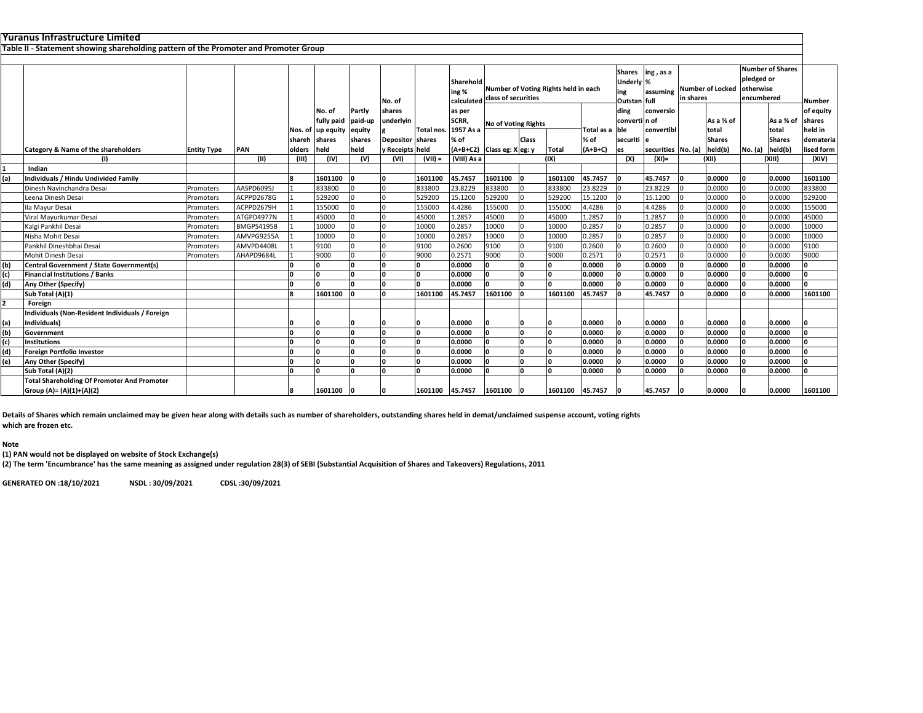|     | Yuranus Infrastructure Limited                                                       |                    |            |                |                          |         |                  |                      |                              |                                                                        |              |              |                |                                                                            |                    |           |               |           |                         |                                       |                         |        |
|-----|--------------------------------------------------------------------------------------|--------------------|------------|----------------|--------------------------|---------|------------------|----------------------|------------------------------|------------------------------------------------------------------------|--------------|--------------|----------------|----------------------------------------------------------------------------|--------------------|-----------|---------------|-----------|-------------------------|---------------------------------------|-------------------------|--------|
|     | Table II - Statement showing shareholding pattern of the Promoter and Promoter Group |                    |            |                |                          |         |                  |                      |                              |                                                                        |              |              |                |                                                                            |                    |           |               |           |                         |                                       |                         |        |
|     |                                                                                      |                    |            |                |                          |         |                  |                      |                              |                                                                        |              |              |                |                                                                            |                    |           |               |           |                         |                                       |                         |        |
|     |                                                                                      |                    |            |                |                          |         | No. of           |                      | Sharehold<br>ing %           | Number of Voting Rights held in each<br>calculated class of securities |              |              |                | <b>Shares</b><br>ing, as a<br>Underly %<br>assuming<br>ing<br>Outstan full |                    |           |               | in shares | <b>Number of Locked</b> | pledged or<br>otherwise<br>encumbered | <b>Number of Shares</b> | Number |
|     |                                                                                      |                    |            |                | No. of                   | Partly  | shares           |                      | as per                       |                                                                        |              |              | ding           |                                                                            | conversio          |           |               |           |                         | of equity                             |                         |        |
|     |                                                                                      |                    |            |                | fully paid               | paid-up | underlyin        |                      | SCRR,                        | <b>No of Voting Rights</b>                                             |              |              | converti n of  |                                                                            |                    | As a % of |               | As a % of | shares                  |                                       |                         |        |
|     |                                                                                      |                    |            |                | Nos. of up equity equity |         |                  | Total nos. 1957 As a |                              |                                                                        |              |              | Total as a ble |                                                                            | convertibl         |           | total         |           | total                   | held in                               |                         |        |
|     |                                                                                      |                    |            | shareh Ishares |                          | shares  | Depositor shares |                      | % of                         |                                                                        | <b>Class</b> |              | % of           | securiti                                                                   |                    |           | <b>Shares</b> |           | <b>Shares</b>           | demateria                             |                         |        |
|     | <b>Category &amp; Name of the shareholders</b>                                       | <b>Entity Type</b> | PAN        | olders         | held                     | held    | y Receipts held  |                      | $(A+B+C2)$ Class eg: X eg: y |                                                                        |              | <b>Total</b> | $(A+B+C)$      | es                                                                         | securities No. (a) |           | held(b)       | No. (a)   | held(b)                 | lised form                            |                         |        |
|     | (1)                                                                                  |                    | (11)       | (III)          | (IV)                     | (V)     | (VI)             | $(VII) =$            | (VIII) As a                  |                                                                        |              | (IX)         |                | (X)                                                                        | (XI)=              |           | (XII)         |           | (XIII)                  | (XIV)                                 |                         |        |
|     | Indian                                                                               |                    |            |                |                          |         |                  |                      |                              |                                                                        |              |              |                |                                                                            |                    |           |               |           |                         |                                       |                         |        |
| (a) | Individuals / Hindu Undivided Family                                                 |                    |            |                | 1601100                  |         | $\Omega$         | 1601100              | 45.7457                      | 1601100                                                                |              | 1601100      | 45.7457        | I۵                                                                         | 45.7457            |           | 0.0000        |           | 0.0000                  | 1601100                               |                         |        |
|     | Dinesh Navinchandra Desai                                                            | Promoters          | AASPD6095J |                | 833800                   |         | In               | 833800               | 23.8229                      | 833800                                                                 |              | 833800       | 23.8229        |                                                                            | 23.8229            |           | 0.0000        |           | 0.0000                  | 833800                                |                         |        |
|     | Leena Dinesh Desai                                                                   | Promoters          | ACPPD2678G |                | 529200                   |         |                  | 529200               | 15.1200                      | 529200                                                                 |              | 529200       | 15.1200        |                                                                            | 15.1200            |           | 0.0000        |           | 0.0000                  | 529200                                |                         |        |
|     | Ila Mayur Desai                                                                      | Promoters          | ACPPD2679H |                | 155000                   |         |                  | 155000               | 4.4286                       | 155000                                                                 |              | 155000       | 4.4286         |                                                                            | 4.4286             |           | 0.0000        |           | 0.0000                  | 155000                                |                         |        |
|     | Viral Mayurkumar Desai                                                               | Promoters          | ATGPD4977N |                | 45000                    |         |                  | 45000                | 1.2857                       | 45000                                                                  |              | 45000        | 1.2857         |                                                                            | 1.2857             |           | 0.0000        |           | 0.0000                  | 45000                                 |                         |        |
|     | Kalgi Pankhil Desai                                                                  | Promoters          | BMGPS4195B |                | 10000                    |         |                  | 10000                | 0.2857                       | 10000                                                                  |              | 10000        | 0.2857         |                                                                            | 0.2857             |           | 0.0000        |           | 0.0000                  | 10000                                 |                         |        |
|     | Nisha Mohit Desai                                                                    | Promoters          | AMVPG9255A |                | 10000                    |         | In               | 10000                | 0.2857                       | 10000                                                                  |              | 10000        | 0.2857         |                                                                            | 0.2857             |           | 0.0000        |           | 0.0000                  | 10000                                 |                         |        |
|     | Pankhil Dineshbhai Desai                                                             | Promoters          | AMVPD4408L |                | 9100                     |         | In               | 9100                 | 0.2600                       | 9100                                                                   |              | 9100         | 0.2600         |                                                                            | 0.2600             |           | 0.0000        |           | 0.0000                  | 9100                                  |                         |        |
|     | Mohit Dinesh Desai                                                                   | Promoters          | AHAPD9684L |                | 9000                     |         |                  | 9000                 | 0.2571                       | 9000                                                                   |              | 9000         | 0.2571         |                                                                            | 0.2571             |           | 0.0000        |           | 0.0000                  | 9000                                  |                         |        |
| (b) | Central Government / State Government(s)                                             |                    |            |                |                          |         | I۵               |                      | 0.0000                       |                                                                        | In.          |              | 0.0000         |                                                                            | 0.0000             |           | 0.0000        |           | 0.0000                  |                                       |                         |        |
| (c) | <b>Financial Institutions / Banks</b>                                                |                    |            |                |                          |         | $\Omega$         |                      | 0.0000                       | n.                                                                     | ١n           |              | 0.0000         |                                                                            | 0.0000             |           | 0.0000        |           | 0.0000                  |                                       |                         |        |
| (d) | Any Other (Specify)                                                                  |                    |            |                |                          |         | <b>n</b>         |                      | 0.0000                       |                                                                        | 'n           |              | 0.0000         |                                                                            | 0.0000             |           | 0.0000        |           | 0.0000                  |                                       |                         |        |
|     | Sub Total (A)(1)                                                                     |                    |            |                | 1601100                  |         | I۵               | 1601100              | 45.7457                      | 1601100                                                                |              | 1601100      | 45.7457        |                                                                            | 45.7457            |           | 0.0000        |           | 0.0000                  | 1601100                               |                         |        |
|     | Foreign                                                                              |                    |            |                |                          |         |                  |                      |                              |                                                                        |              |              |                |                                                                            |                    |           |               |           |                         |                                       |                         |        |
|     | Individuals (Non-Resident Individuals / Foreign                                      |                    |            |                |                          |         |                  |                      |                              |                                                                        |              |              |                |                                                                            |                    |           |               |           |                         |                                       |                         |        |
| (a) | Individuals)                                                                         |                    |            |                |                          |         | I۵               |                      | 0.0000                       |                                                                        | O            |              | 0.0000         | ١O                                                                         | 0.0000             |           | 0.0000        |           | 0.0000                  |                                       |                         |        |
| (b) | Government                                                                           |                    |            |                |                          |         | <b>n</b>         |                      | 0.0000                       |                                                                        | <b>n</b>     |              | 0.0000         |                                                                            | 0.0000             |           | 0.0000        |           | 0.0000                  |                                       |                         |        |
| (c) | <b>Institutions</b>                                                                  |                    |            |                |                          |         | <b>n</b>         |                      | 0.0000                       |                                                                        | n            |              | 0.0000         |                                                                            | 0.0000             |           | 0.0000        |           | 0.0000                  |                                       |                         |        |
| (d) | Foreign Portfolio Investor                                                           |                    |            |                |                          |         | <b>n</b>         |                      | 0.0000                       |                                                                        | <sup>0</sup> |              | 0.0000         |                                                                            | 0.0000             |           | 0.0000        |           | 0.0000                  |                                       |                         |        |
| (e) | Any Other (Specify)                                                                  |                    |            |                |                          |         | <b>n</b>         |                      | 0.0000                       |                                                                        | n            |              | 0.0000         |                                                                            | 0.0000             |           | 0.0000        |           | 0.0000                  |                                       |                         |        |
|     | Sub Total (A)(2)                                                                     |                    |            |                |                          |         | 'n               |                      | 0.0000                       |                                                                        | n            |              | 0.0000         |                                                                            | 0.0000             |           | 0.0000        |           | 0.0000                  |                                       |                         |        |
|     | <b>Total Shareholding Of Promoter And Promoter</b>                                   |                    |            |                |                          |         |                  |                      |                              |                                                                        |              |              |                |                                                                            |                    |           |               |           |                         |                                       |                         |        |
|     | Group (A)= (A)(1)+(A)(2)                                                             |                    |            |                | 1601100                  |         | I۵               | 1601100 45.7457      |                              | 1601100                                                                | ın           | 1601100      | 45.7457        | ١o                                                                         | 45.7457            |           | 0.0000        |           | 0.0000                  | 1601100                               |                         |        |

Details of Shares which remain unclaimed may be given hear along with details such as number of shareholders, outstanding shares held in demat/unclaimed suspense account, voting rights **which are frozen etc.**

### **Note**

**(1) PAN would not be displayed on website of Stock Exchange(s)**

(2) The term 'Encumbrance' has the same meaning as assigned under regulation 28(3) of SEBI (Substantial Acquisition of Shares and Takeovers) Regulations, 2011

**GENERATED ON:18/10/2021 NSDL : 30/09/2021 CDSL :30/09/2021**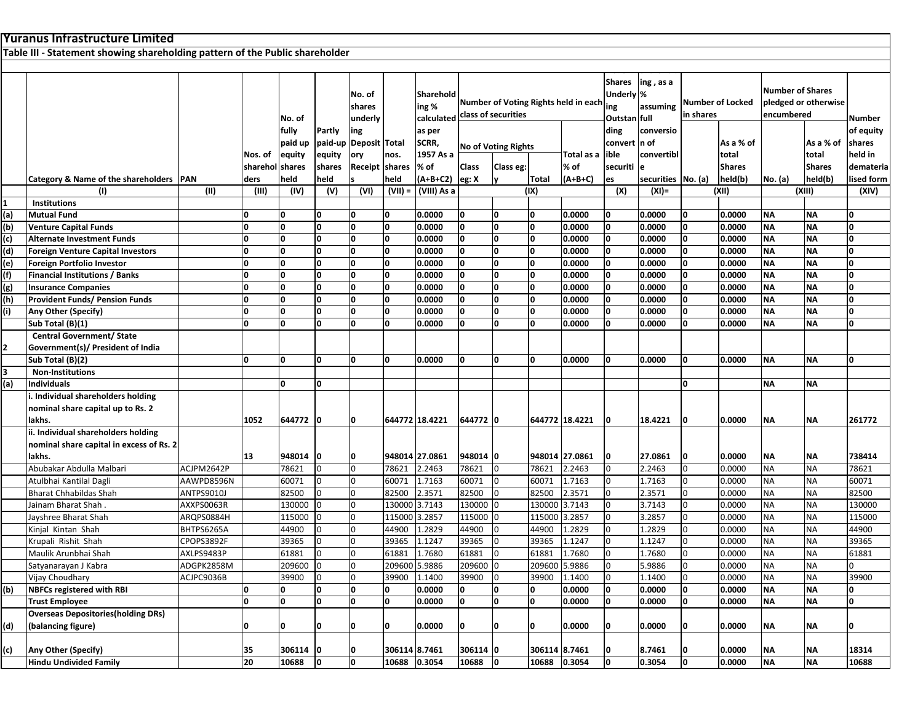|     | Yuranus Infrastructure Limited                                               |                          |                 |                   |                      |                      |                        |                     |                 |                                          |                        |                                      |                       |                    |                         |                  |                         |                        |                      |
|-----|------------------------------------------------------------------------------|--------------------------|-----------------|-------------------|----------------------|----------------------|------------------------|---------------------|-----------------|------------------------------------------|------------------------|--------------------------------------|-----------------------|--------------------|-------------------------|------------------|-------------------------|------------------------|----------------------|
|     | Table III - Statement showing shareholding pattern of the Public shareholder |                          |                 |                   |                      |                      |                        |                     |                 |                                          |                        |                                      |                       |                    |                         |                  |                         |                        |                      |
|     |                                                                              |                          |                 |                   |                      |                      |                        |                     |                 |                                          |                        |                                      |                       |                    |                         |                  |                         |                        |                      |
|     |                                                                              |                          |                 |                   |                      |                      |                        |                     |                 |                                          |                        |                                      | <b>Shares</b>         | ing, as a          |                         |                  | <b>Number of Shares</b> |                        |                      |
|     |                                                                              |                          |                 |                   |                      | No. of               |                        | Sharehold           |                 |                                          |                        | Number of Voting Rights held in each | Underly %             |                    | <b>Number of Locked</b> |                  |                         | pledged or otherwise   |                      |
|     |                                                                              |                          |                 |                   |                      | shares               |                        | ing %<br>calculated |                 | class of securities                      |                        |                                      | ing<br>Outstan full   | assuming           | in shares               |                  | encumbered              |                        |                      |
|     |                                                                              |                          |                 | No. of            |                      | underly              |                        |                     |                 |                                          |                        |                                      |                       |                    |                         |                  |                         |                        | Number               |
|     |                                                                              |                          |                 | fully             | <b>Partly</b>        | ing                  |                        | as per<br>SCRR,     |                 |                                          |                        |                                      | ding<br>convert in of | conversio          |                         | As a % of        |                         | As a % of              | of equity            |
|     |                                                                              |                          | Nos. of         | paid up<br>equity | paid-up<br>equity    | Deposit Total<br>ory | nos.                   | 1957 As a           |                 | <b>No of Voting Rights</b><br>Total as a |                        | ible                                 | convertibl            |                    | total                   |                  | total                   | shares<br>held in      |                      |
|     |                                                                              |                          | sharehol shares |                   | shares               | Receipt shares       |                        | % of                | Class           | Class eg:                                |                        | % of                                 | securiti e            |                    |                         | <b>Shares</b>    |                         | <b>Shares</b>          | demateria            |
|     | Category & Name of the shareholders   PAN                                    |                          | ders            | held              | held                 |                      | held                   | $(A+B+C2)$          | eg: X           |                                          | <b>Total</b>           | $(A+B+C)$                            | es                    | securities No. (a) |                         | held(b)          | No. (a)                 | held(b)                | lised form           |
|     | (1)                                                                          | (11)                     | (III)           | (IV)              | (V)                  | (VI)                 | $(VII) =$              | (VIII) As a         |                 |                                          | (IX)                   |                                      | (X)                   | $(XI) =$           |                         | (XII)            |                         | (XIII)                 | (XIV)                |
| 1   | <b>Institutions</b>                                                          |                          |                 |                   |                      |                      |                        |                     |                 |                                          |                        |                                      |                       |                    |                         |                  |                         |                        |                      |
| (a) | <b>Mutual Fund</b>                                                           |                          | O               | O                 | 0                    | n                    | O                      | 0.0000              | O               | O                                        | O                      | 0.0000                               | O                     | 0.0000             | O                       | 0.0000           | <b>NA</b>               | <b>NA</b>              |                      |
| (b) | <b>Venture Capital Funds</b>                                                 |                          | <sup>0</sup>    | ١o                | $\mathbf 0$          | O                    | 0                      | 0.0000              | O               | O                                        | O                      | 0.0000                               | O                     | 0.0000             |                         | 0.0000           | <b>NA</b>               | <b>NA</b>              | l0                   |
| (c) | <b>Alternate Investment Funds</b>                                            |                          | <sup>0</sup>    | ١o                | $\mathbf 0$          | O                    | O                      | 0.0000              | O               | O                                        | O                      | 0.0000                               | O                     | 0.0000             |                         | 0.0000           | NΑ                      | <b>NA</b>              | ۱O                   |
| (d) | <b>Foreign Venture Capital Investors</b>                                     |                          | O               | O                 | O                    | O                    | I٥                     | 0.0000              | O               | I٥                                       | 0                      | 0.0000                               | O                     | 0.0000             | O                       | 0.0000           | <b>NA</b>               | <b>NA</b>              | O                    |
| (e) | <b>Foreign Portfolio Investor</b>                                            |                          | O               | O                 | $\mathbf 0$          | O                    | 0                      | 0.0000              | O               | O                                        | O                      | 0.0000                               |                       | 0.0000             |                         | 0.0000           | <b>NA</b>               | <b>NA</b>              | I۵                   |
| (f) | <b>Financial Institutions / Banks</b>                                        |                          | <sup>0</sup>    | ١o                | O                    | O                    | <b>O</b>               | 0.0000              | O               | O                                        | O                      | 0.0000                               |                       | 0.0000             |                         | 0.0000           | <b>NA</b>               | <b>NA</b>              | n                    |
| (g) | <b>Insurance Companies</b>                                                   |                          | O               | O                 | O                    | O                    | O                      | 0.0000              | O               | O                                        | O                      | 0.0000                               |                       | 0.0000             |                         | 0.0000           | <b>NA</b>               | <b>NA</b>              | l n                  |
| (h) | <b>Provident Funds/ Pension Funds</b>                                        |                          | O               | O                 | I٥                   | 0                    | I٥                     | 0.0000              | O               | O                                        | O                      | 0.0000                               |                       | 0.0000             |                         | 0.0000           | <b>NA</b>               | <b>NA</b>              | <sup>0</sup>         |
| (i) | Any Other (Specify)                                                          |                          | <sup>0</sup>    | ١o                | O                    | <sup>0</sup>         | 0                      | 0.0000              | O               | $\Omega$                                 | O                      | 0.0000                               |                       | 0.0000             |                         | 0.0000           | <b>NA</b>               | <b>NA</b>              | l n                  |
|     | Sub Total (B)(1)                                                             |                          | n               | I٥                | O                    | 0                    | O                      | 0.0000              | I۵              | $\Omega$                                 | <sup>0</sup>           | 0.0000                               |                       | 0.0000             |                         | 0.0000           | <b>NA</b>               | <b>NA</b>              | I۵                   |
|     | <b>Central Government/ State</b>                                             |                          |                 |                   |                      |                      |                        |                     |                 |                                          |                        |                                      |                       |                    |                         |                  |                         |                        |                      |
| 2   | Government(s)/ President of India                                            |                          |                 |                   |                      |                      |                        |                     |                 |                                          |                        |                                      |                       |                    |                         |                  |                         |                        |                      |
|     | Sub Total (B)(2)                                                             |                          | <sup>0</sup>    | I٥                | O                    | O                    | 0                      | 0.0000              | O               | O                                        | O                      | 0.0000                               | O                     | 0.0000             | O                       | 0.0000           | <b>NA</b>               | <b>NA</b>              | l0                   |
| 3   | <b>Non-Institutions</b>                                                      |                          |                 |                   |                      |                      |                        |                     |                 |                                          |                        |                                      |                       |                    |                         |                  |                         |                        |                      |
| (a) | Individuals                                                                  |                          |                 | O                 | 0                    |                      |                        |                     |                 |                                          |                        |                                      |                       |                    | O                       |                  | NΑ                      | <b>NA</b>              |                      |
|     | Individual shareholders holding                                              |                          |                 |                   |                      |                      |                        |                     |                 |                                          |                        |                                      |                       |                    |                         |                  |                         |                        |                      |
|     | nominal share capital up to Rs. 2                                            |                          |                 |                   |                      |                      |                        |                     |                 |                                          |                        |                                      |                       |                    |                         |                  |                         |                        |                      |
|     | lakhs.                                                                       |                          | 1052            | 644772            | 10                   | 0                    |                        | 644772 18.4221      | 644772 0        |                                          |                        | 644772 18.4221                       | 0                     | 18.4221            | 10                      | 0.0000           | <b>NA</b>               | <b>NA</b>              | 261772               |
|     | ii. Individual shareholders holding                                          |                          |                 |                   |                      |                      |                        |                     |                 |                                          |                        |                                      |                       |                    |                         |                  |                         |                        |                      |
|     | nominal share capital in excess of Rs. 2                                     |                          |                 |                   |                      |                      |                        |                     |                 |                                          |                        |                                      |                       |                    |                         |                  |                         |                        |                      |
|     | lakhs.                                                                       |                          | 13              | 948014 0          |                      | O                    |                        | 948014 27.0861      | 948014 0        |                                          |                        | 948014 27.0861                       | 0                     | 27.0861            | 10                      | 0.0000           | NΑ                      | <b>NA</b>              | 738414               |
|     | Abubakar Abdulla Malbari                                                     | ACJPM2642P               |                 | 78621             | l0                   | $\overline{0}$       | 78621                  | 2.2463              | 78621           | $\Omega$                                 | 78621                  | 2.2463                               | $\Omega$              | 2.2463             |                         | 0.0000           | <b>NA</b>               | <b>NA</b>              | 78621                |
|     | Atulbhai Kantilal Dagli                                                      | AAWPD8596N               |                 | 60071             | $\overline{0}$       |                      | 60071                  | 1.7163              | 60071           | $\Omega$                                 | 60071                  | L.7163                               |                       | 1.7163             |                         | 0.0000           | <b>NA</b>               | <b>NA</b>              | 60071                |
|     | <b>Bharat Chhabildas Shah</b>                                                | ANTPS9010J               |                 | 82500             | l O                  |                      | 82500                  | 2.3571              | 82500           |                                          | 82500                  | 2.3571                               |                       | 2.3571             |                         | 0.0000           | <b>NA</b>               | <b>NA</b>              | 82500                |
|     | Jainam Bharat Shah                                                           | AXXPS0063R               |                 | 130000            |                      |                      | 130000 3.7143          |                     | 130000          |                                          | 130000                 | 3.7143                               |                       | 3.7143             |                         | 0.0000           | <b>NA</b>               | <b>NA</b>              | 130000               |
|     | Jayshree Bharat Shah                                                         | ARQPS0884H               |                 | 115000            | $\overline{0}$       | 0                    | 115000 3.2857          |                     | 115000          | I <sub>0</sub>                           | 115000                 | 3.2857                               | $\overline{0}$        | 3.2857             |                         | 0.0000           | <b>NA</b>               | <b>NA</b>              | 115000               |
|     | Kinjal Kintan Shah                                                           | BHTPS6265A               |                 | 44900             | $\overline{0}$       |                      | 44900                  | 1.2829              | 44900           |                                          | 44900                  | 1.2829                               | <sup>0</sup>          | 1.2829             |                         | 0.0000           | <b>NA</b>               | <b>NA</b>              | 44900                |
|     | Krupali Rishit Shah                                                          | CPOPS3892F               |                 | 39365             | $\overline{0}$<br>l0 | $\Omega$<br>n.       | 39365                  | 1.1247              | 39365           | 0                                        | 39365                  | 1.1247                               | n                     | 1.1247             |                         | 0.0000           | <b>NA</b>               | <b>NA</b><br><b>NA</b> | 39365                |
|     | Maulik Arunbhai Shah                                                         | AXLPS9483P               |                 | 61881             |                      |                      | 61881                  | 1.7680              | 61881           | I0                                       | 61881                  | 1.7680                               |                       | 1.7680             |                         | 0.0000           | <b>NA</b>               |                        | 61881<br>$\mathbf 0$ |
|     | Satyanarayan J Kabra<br>Vijay Choudhary                                      | ADGPK2858M<br>ACJPC9036B |                 | 209600 0<br>39900 | $\overline{0}$       | $\overline{0}$       | 209600 5.9886<br>39900 | 1.1400              | 209600<br>39900 | $\overline{0}$                           | 209600 5.9886<br>39900 | 1.1400                               | 0                     | 5.9886<br>1.1400   |                         | 0.0000<br>0.0000 | <b>NA</b><br>NA         | <b>NA</b><br><b>NA</b> | 39900                |
| (b) | <b>NBFCs registered with RBI</b>                                             |                          | O               | O                 | ١o                   | O                    | 0                      | 0.0000              | O               | 0                                        | 0                      | 0.0000                               | 0                     | 0.0000             |                         | 0.0000           | <b>NA</b>               | <b>NA</b>              | O                    |
|     | <b>Trust Employee</b>                                                        |                          | $\mathbf{0}$    | O                 | o                    | O                    | O                      | 0.0000              | O               | 0                                        | O                      | 0.0000                               | 0                     | 0.0000             |                         | 0.0000           | <b>NA</b>               | <b>NA</b>              | O                    |
|     | <b>Overseas Depositories (holding DRs)</b>                                   |                          |                 |                   |                      |                      |                        |                     |                 |                                          |                        |                                      |                       |                    |                         |                  |                         |                        |                      |
| (d) | (balancing figure)                                                           |                          | n               | 0                 | $\mathbf 0$          | O                    | 0                      | 0.0000              | O               | 0                                        |                        | 0.0000                               | 0                     | 0.0000             | 10                      | 0.0000           | <b>NA</b>               | <b>NA</b>              | <sup>0</sup>         |
|     |                                                                              |                          |                 |                   |                      |                      |                        |                     |                 |                                          |                        |                                      |                       |                    |                         |                  |                         |                        |                      |
| (c) | Any Other (Specify)                                                          |                          | 35              | 306114 0          |                      | 0                    | 306114 8.7461          |                     | 306114 0        |                                          | 306114 8.7461          |                                      | 0                     | 8.7461             | 10                      | 0.0000           | NΑ                      | <b>NA</b>              | 18314                |
|     | <b>Hindu Undivided Family</b>                                                |                          | 20              | 10688             | 0                    | O                    | 10688 0.3054           |                     | 10688           | ١o                                       | 10688                  | 0.3054                               | 0                     | 0.3054             | O                       | 0.0000           | <b>NA</b>               | <b>NA</b>              | 10688                |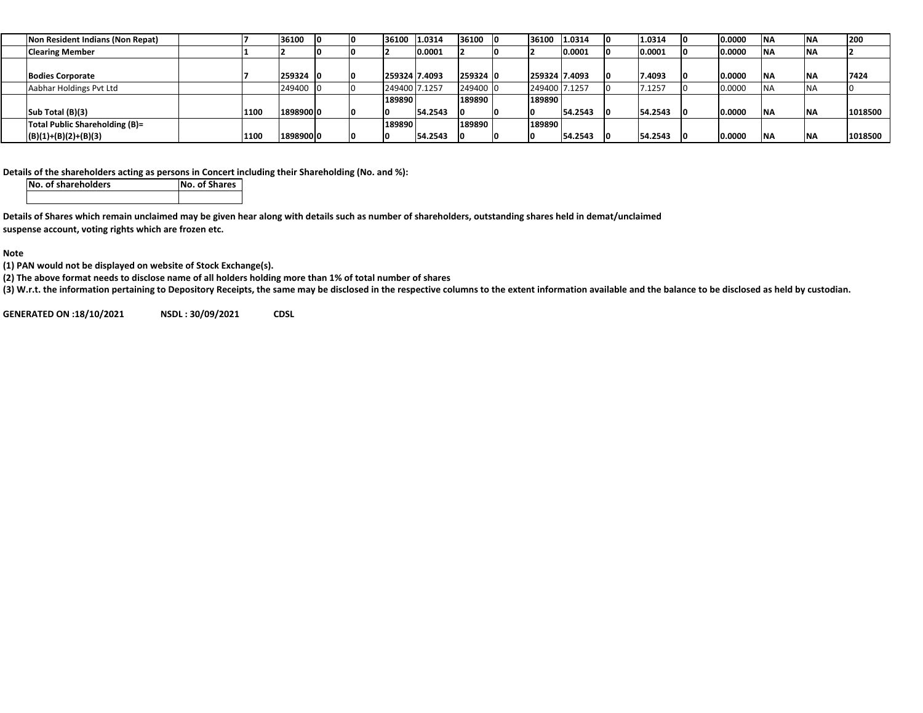| Non Resident Indians (Non Repat) |      | 36100     |  | 36100 1.0314  |         | 36100 0  | 36100          | 1.0314  | 1.0314  | 0.0000 | <b>INA</b> | <b>INA</b> | 200     |
|----------------------------------|------|-----------|--|---------------|---------|----------|----------------|---------|---------|--------|------------|------------|---------|
| <b>Clearing Member</b>           |      |           |  |               | 0.0001  |          |                | 0.0001  | 0.0001  | 0.0000 | <b>NA</b>  | <b>NA</b>  |         |
|                                  |      |           |  |               |         |          |                |         |         |        |            |            |         |
| <b>Bodies Corporate</b>          |      | 259324 0  |  | 259324 7.4093 |         | 259324 0 | 259324  7.4093 |         | 7.4093  | 0.0000 | <b>INA</b> | <b>NA</b>  | 7424    |
| Aabhar Holdings Pvt Ltd          |      | 249400 0  |  | 249400 7.1257 |         | 249400 0 | 249400 7.1257  |         | 7.1257  | 0.0000 |            | <b>INA</b> |         |
|                                  |      |           |  | 189890        |         | 189890   | 189890         |         |         |        |            |            |         |
| Sub Total (B)(3)                 | 1100 | 1898900 0 |  |               | 54.2543 |          |                | 54.2543 | 54.2543 | 0.0000 | <b>INA</b> | <b>NA</b>  | 1018500 |
| Total Public Shareholding (B)=   |      |           |  | 189890        |         | 189890   | 189890         |         |         |        |            |            |         |
| $(B)(1)+(B)(2)+(B)(3)$           | 1100 | 1898900 0 |  |               | 54.2543 |          |                | 54.2543 | 54.2543 | 0.0000 | <b>INA</b> | <b>NA</b>  | 1018500 |

## **Details of the shareholders acting as persons in Concert including their Shareholding (No. and %):**

**No. of shareholders No. of Shares**No. of Shares

Details of Shares which remain unclaimed may be given hear along with details such as number of shareholders, outstanding shares held in demat/unclaimed **suspense account, voting rights which are frozen etc.**

### **Note**

**(1) PAN would not be displayed on website of Stock Exchange(s).**

(2) The above format needs to disclose name of all holders holding more than 1% of total number of shares

(3) W.r.t. the information pertaining to Depository Receipts, the same may be disclosed in the respective columns to the extent information available and the balance to be disclosed as held by custodian.

**GENERATED ON:18/10/2021 NSDL : 30/09/2021 CDSL**